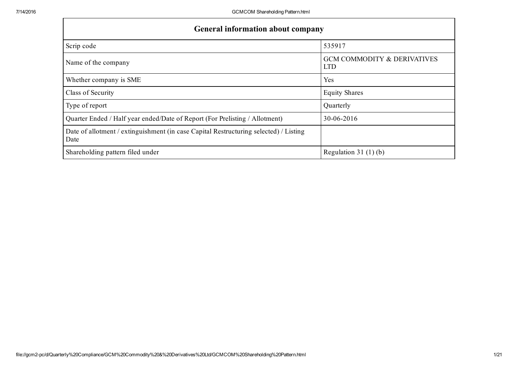| <b>General information about company</b>                                                      |                                                      |  |  |  |  |  |  |  |  |
|-----------------------------------------------------------------------------------------------|------------------------------------------------------|--|--|--|--|--|--|--|--|
| Scrip code                                                                                    | 535917                                               |  |  |  |  |  |  |  |  |
| Name of the company                                                                           | <b>GCM COMMODITY &amp; DERIVATIVES</b><br><b>LTD</b> |  |  |  |  |  |  |  |  |
| Whether company is SME                                                                        | Yes                                                  |  |  |  |  |  |  |  |  |
| Class of Security                                                                             | <b>Equity Shares</b>                                 |  |  |  |  |  |  |  |  |
| Type of report                                                                                | Quarterly                                            |  |  |  |  |  |  |  |  |
| Quarter Ended / Half year ended/Date of Report (For Prelisting / Allotment)                   | 30-06-2016                                           |  |  |  |  |  |  |  |  |
| Date of allotment / extinguishment (in case Capital Restructuring selected) / Listing<br>Date |                                                      |  |  |  |  |  |  |  |  |
| Shareholding pattern filed under                                                              | Regulation 31 $(1)(b)$                               |  |  |  |  |  |  |  |  |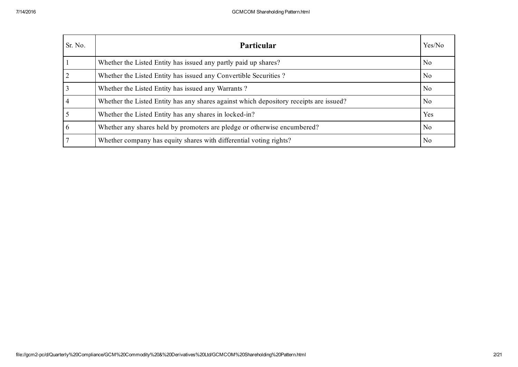| Sr. No. | Particular                                                                             | Yes/No         |
|---------|----------------------------------------------------------------------------------------|----------------|
|         | Whether the Listed Entity has issued any partly paid up shares?                        | No.            |
|         | Whether the Listed Entity has issued any Convertible Securities?                       | N <sub>0</sub> |
|         | Whether the Listed Entity has issued any Warrants?                                     | No             |
|         | Whether the Listed Entity has any shares against which depository receipts are issued? | No.            |
|         | Whether the Listed Entity has any shares in locked-in?                                 | <b>Yes</b>     |
| 6       | Whether any shares held by promoters are pledge or otherwise encumbered?               | N <sub>0</sub> |
|         | Whether company has equity shares with differential voting rights?                     | No             |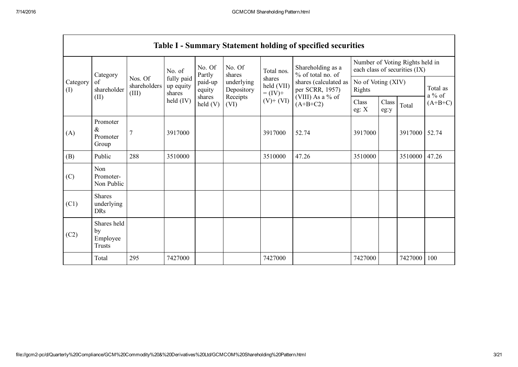|                                           | <b>Table I - Summary Statement holding of specified securities</b> |                                  |                                   |                   |                          |                                                                    |                                                                                                                      |                                                                  |               |         |                      |  |
|-------------------------------------------|--------------------------------------------------------------------|----------------------------------|-----------------------------------|-------------------|--------------------------|--------------------------------------------------------------------|----------------------------------------------------------------------------------------------------------------------|------------------------------------------------------------------|---------------|---------|----------------------|--|
| Category<br>of<br>Category<br>(I)<br>(II) |                                                                    | No. of                           |                                   | No. Of<br>Partly  | No. Of<br>shares         | Total nos.<br>shares<br>held (VII)<br>$= (IV) +$<br>$(V)$ + $(VI)$ | Shareholding as a<br>% of total no. of<br>shares (calculated as<br>per SCRR, 1957)<br>(VIII) As a % of<br>$(A+B+C2)$ | Number of Voting Rights held in<br>each class of securities (IX) |               |         |                      |  |
|                                           | shareholder                                                        | Nos. Of<br>shareholders<br>(III) | fully paid<br>up equity<br>shares | paid-up<br>equity | underlying<br>Depository |                                                                    |                                                                                                                      | No of Voting (XIV)<br>Rights                                     |               |         | Total as<br>$a\%$ of |  |
|                                           |                                                                    |                                  | held (IV)                         | shares<br>held(V) | Receipts<br>(VI)         |                                                                    |                                                                                                                      | Class<br>eg: X                                                   | Class<br>eg:y | Total   | $(A+B+C)$            |  |
| (A)                                       | Promoter<br>$\&$<br>Promoter<br>Group                              | 7                                | 3917000                           |                   |                          | 3917000                                                            | 52.74                                                                                                                | 3917000                                                          |               | 3917000 | 52.74                |  |
| (B)                                       | Public                                                             | 288                              | 3510000                           |                   |                          | 3510000                                                            | 47.26                                                                                                                | 3510000                                                          |               | 3510000 | 47.26                |  |
| (C)                                       | Non<br>Promoter-<br>Non Public                                     |                                  |                                   |                   |                          |                                                                    |                                                                                                                      |                                                                  |               |         |                      |  |
| (C1)                                      | <b>Shares</b><br>underlying<br><b>DRs</b>                          |                                  |                                   |                   |                          |                                                                    |                                                                                                                      |                                                                  |               |         |                      |  |
| (C2)                                      | Shares held<br>by<br>Employee<br>Trusts                            |                                  |                                   |                   |                          |                                                                    |                                                                                                                      |                                                                  |               |         |                      |  |
|                                           | Total                                                              | 295                              | 7427000                           |                   |                          | 7427000                                                            |                                                                                                                      | 7427000                                                          |               | 7427000 | 100                  |  |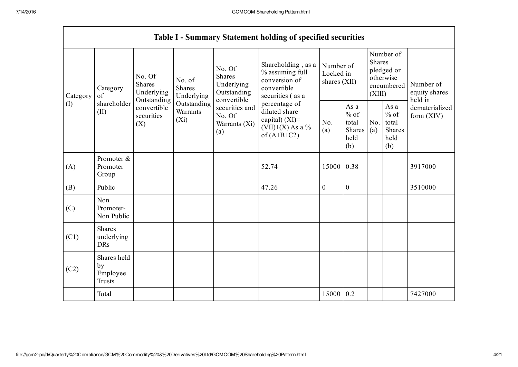|                 | <b>Table I - Summary Statement holding of specified securities</b> |                                                                                                        |                                       |                                                                                                                         |                                                                                                                                                                                         |                                        |                                                         |                                                                               |                                                  |                                       |  |  |
|-----------------|--------------------------------------------------------------------|--------------------------------------------------------------------------------------------------------|---------------------------------------|-------------------------------------------------------------------------------------------------------------------------|-----------------------------------------------------------------------------------------------------------------------------------------------------------------------------------------|----------------------------------------|---------------------------------------------------------|-------------------------------------------------------------------------------|--------------------------------------------------|---------------------------------------|--|--|
| Category<br>(I) | Category<br>of<br>shareholder<br>(II)                              | No. Of<br>Shares<br>Underlying<br>Outstanding<br>convertible<br>securities<br>(X <sub>i</sub> )<br>(X) | No. of<br><b>Shares</b><br>Underlying | No. Of<br><b>Shares</b><br>Underlying<br>Outstanding<br>convertible<br>securities and<br>No. Of<br>Warrants (Xi)<br>(a) | Shareholding, as a<br>% assuming full<br>conversion of<br>convertible<br>securities (as a<br>percentage of<br>diluted share<br>capital) $(XI)$ =<br>$(VII)+(X)$ As a %<br>of $(A+B+C2)$ | Number of<br>Locked in<br>shares (XII) |                                                         | Number of<br><b>Shares</b><br>pledged or<br>otherwise<br>encumbered<br>(XIII) |                                                  | Number of<br>equity shares<br>held in |  |  |
|                 |                                                                    |                                                                                                        | Outstanding<br>Warrants               |                                                                                                                         |                                                                                                                                                                                         | No.<br>(a)                             | As a<br>$%$ of<br>total<br><b>Shares</b><br>held<br>(b) | No.<br>(a)                                                                    | As a<br>$%$ of<br>total<br>Shares<br>held<br>(b) | dematerialized<br>form $(XIV)$        |  |  |
| (A)             | Promoter &<br>Promoter<br>Group                                    |                                                                                                        |                                       |                                                                                                                         | 52.74                                                                                                                                                                                   | 15000 0.38                             |                                                         |                                                                               |                                                  | 3917000                               |  |  |
| (B)             | Public                                                             |                                                                                                        |                                       |                                                                                                                         | 47.26                                                                                                                                                                                   | $\overline{0}$                         | $\overline{0}$                                          |                                                                               |                                                  | 3510000                               |  |  |
| (C)             | Non<br>Promoter-<br>Non Public                                     |                                                                                                        |                                       |                                                                                                                         |                                                                                                                                                                                         |                                        |                                                         |                                                                               |                                                  |                                       |  |  |
| (C1)            | <b>Shares</b><br>underlying<br><b>DRs</b>                          |                                                                                                        |                                       |                                                                                                                         |                                                                                                                                                                                         |                                        |                                                         |                                                                               |                                                  |                                       |  |  |
| (C2)            | Shares held<br>by<br>Employee<br><b>Trusts</b>                     |                                                                                                        |                                       |                                                                                                                         |                                                                                                                                                                                         |                                        |                                                         |                                                                               |                                                  |                                       |  |  |
|                 | Total                                                              |                                                                                                        |                                       |                                                                                                                         |                                                                                                                                                                                         | 15000 0.2                              |                                                         |                                                                               |                                                  | 7427000                               |  |  |

Г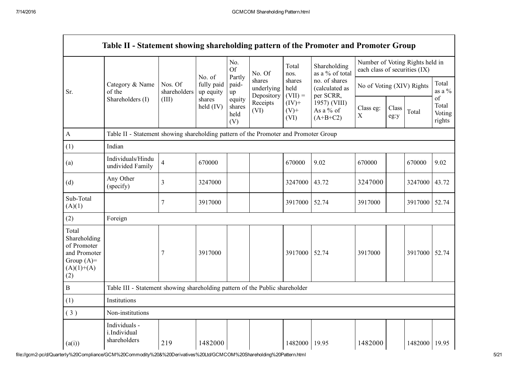|                                                                                             | Table II - Statement showing shareholding pattern of the Promoter and Promoter Group |                         |                                   |                                 |                                                                  |                                                            |                                                                                         |                                                                  |               |               |                                 |
|---------------------------------------------------------------------------------------------|--------------------------------------------------------------------------------------|-------------------------|-----------------------------------|---------------------------------|------------------------------------------------------------------|------------------------------------------------------------|-----------------------------------------------------------------------------------------|------------------------------------------------------------------|---------------|---------------|---------------------------------|
|                                                                                             |                                                                                      |                         |                                   | No.<br><b>Of</b>                | No. Of<br>shares<br>underlying<br>Depository<br>Receipts<br>(VI) | Total<br>nos.                                              | Shareholding<br>as a % of total                                                         | Number of Voting Rights held in<br>each class of securities (IX) |               |               |                                 |
| Sr.                                                                                         | Category & Name<br>of the                                                            | Nos. Of<br>shareholders | No. of<br>fully paid<br>up equity | Partly<br>paid-<br>up           |                                                                  | shares<br>held<br>$(VII) =$<br>$(IV)$ +<br>$(V)$ +<br>(VI) | no. of shares<br>(calculated as<br>per SCRR,<br>1957) (VIII)<br>As a % of<br>$(A+B+C2)$ | No of Voting (XIV) Rights                                        |               |               | Total<br>as a $\%$              |
|                                                                                             | Shareholders (I)                                                                     | (III)                   | shares<br>held $(IV)$             | equity<br>shares<br>held<br>(V) |                                                                  |                                                            |                                                                                         | Class eg:<br>$\boldsymbol{\mathrm{X}}$                           | Class<br>eg:y | Total         | of<br>Total<br>Voting<br>rights |
| $\mathbf{A}$                                                                                | Table II - Statement showing shareholding pattern of the Promoter and Promoter Group |                         |                                   |                                 |                                                                  |                                                            |                                                                                         |                                                                  |               |               |                                 |
| (1)                                                                                         | Indian                                                                               |                         |                                   |                                 |                                                                  |                                                            |                                                                                         |                                                                  |               |               |                                 |
| (a)                                                                                         | Individuals/Hindu<br>undivided Family                                                | $\overline{\mathbf{4}}$ | 670000                            |                                 |                                                                  | 670000                                                     | 9.02                                                                                    | 670000                                                           |               | 670000        | 9.02                            |
| (d)                                                                                         | Any Other<br>(specify)                                                               | 3                       | 3247000                           |                                 |                                                                  | 3247000                                                    | 43.72                                                                                   | 3247000                                                          |               | 3247000       | 43.72                           |
| Sub-Total<br>(A)(1)                                                                         |                                                                                      | 7                       | 3917000                           |                                 |                                                                  | 3917000                                                    | 52.74                                                                                   | 3917000                                                          |               | 3917000       | 52.74                           |
| (2)                                                                                         | Foreign                                                                              |                         |                                   |                                 |                                                                  |                                                            |                                                                                         |                                                                  |               |               |                                 |
| Total<br>Shareholding<br>of Promoter<br>and Promoter<br>Group $(A)=$<br>$(A)(1)+(A)$<br>(2) |                                                                                      | 7                       | 3917000                           |                                 |                                                                  | 3917000                                                    | 52.74                                                                                   | 3917000                                                          |               | 3917000       | 52.74                           |
| $\, {\bf B}$                                                                                | Table III - Statement showing shareholding pattern of the Public shareholder         |                         |                                   |                                 |                                                                  |                                                            |                                                                                         |                                                                  |               |               |                                 |
| (1)                                                                                         | Institutions                                                                         |                         |                                   |                                 |                                                                  |                                                            |                                                                                         |                                                                  |               |               |                                 |
| (3)                                                                                         | Non-institutions                                                                     |                         |                                   |                                 |                                                                  |                                                            |                                                                                         |                                                                  |               |               |                                 |
| (a(i))                                                                                      | Individuals -<br>i.Individual<br>shareholders                                        | 219                     | 1482000                           |                                 |                                                                  | 1482000                                                    | 19.95                                                                                   | 1482000                                                          |               | 1482000 19.95 |                                 |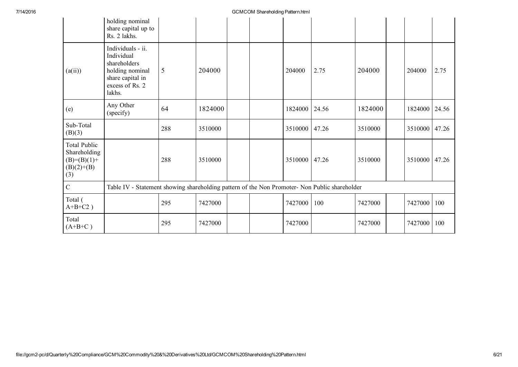|                                                                               | holding nominal<br>share capital up to<br>Rs. 2 lakhs.                                                              |                                                                                               |         |  |  |         |       |         |  |         |       |
|-------------------------------------------------------------------------------|---------------------------------------------------------------------------------------------------------------------|-----------------------------------------------------------------------------------------------|---------|--|--|---------|-------|---------|--|---------|-------|
| (a(ii))                                                                       | Individuals - ii.<br>Individual<br>shareholders<br>holding nominal<br>share capital in<br>excess of Rs. 2<br>lakhs. | 5                                                                                             | 204000  |  |  | 204000  | 2.75  | 204000  |  | 204000  | 2.75  |
| (e)                                                                           | Any Other<br>(specify)                                                                                              | 64                                                                                            | 1824000 |  |  | 1824000 | 24.56 | 1824000 |  | 1824000 | 24.56 |
| Sub-Total<br>(B)(3)                                                           |                                                                                                                     | 288                                                                                           | 3510000 |  |  | 3510000 | 47.26 | 3510000 |  | 3510000 | 47.26 |
| <b>Total Public</b><br>Shareholding<br>$(B)= (B)(1) +$<br>$(B)(2)+(B)$<br>(3) |                                                                                                                     | 288                                                                                           | 3510000 |  |  | 3510000 | 47.26 | 3510000 |  | 3510000 | 47.26 |
| $\mathcal{C}$                                                                 |                                                                                                                     | Table IV - Statement showing shareholding pattern of the Non Promoter- Non Public shareholder |         |  |  |         |       |         |  |         |       |
| Total (<br>$A+B+C2$ )                                                         |                                                                                                                     | 295                                                                                           | 7427000 |  |  | 7427000 | 100   | 7427000 |  | 7427000 | 100   |
| Total<br>$(A+B+C)$                                                            |                                                                                                                     | 295                                                                                           | 7427000 |  |  | 7427000 |       | 7427000 |  | 7427000 | 100   |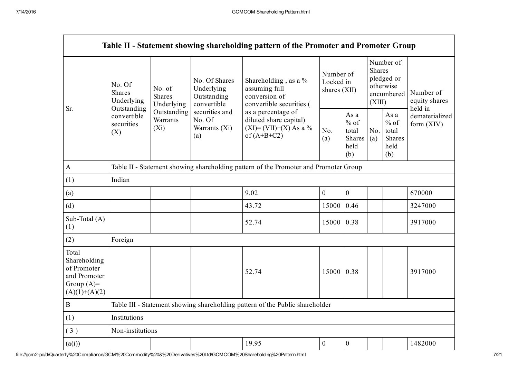|                                                                                         | Table II - Statement showing shareholding pattern of the Promoter and Promoter Group     |                                                                             |                                                                                                               |                                                                                            |                                          |                                                         |                                                                               |                                                  |                                       |  |  |
|-----------------------------------------------------------------------------------------|------------------------------------------------------------------------------------------|-----------------------------------------------------------------------------|---------------------------------------------------------------------------------------------------------------|--------------------------------------------------------------------------------------------|------------------------------------------|---------------------------------------------------------|-------------------------------------------------------------------------------|--------------------------------------------------|---------------------------------------|--|--|
| Sr.                                                                                     | No. Of<br><b>Shares</b><br>Underlying<br>Outstanding<br>convertible<br>securities<br>(X) | No. of<br><b>Shares</b><br>Underlying<br>Outstanding<br>Warrants<br>$(X_i)$ | No. Of Shares<br>Underlying<br>Outstanding<br>convertible<br>securities and<br>No. Of<br>Warrants (Xi)<br>(a) | Shareholding , as a $\%$<br>assuming full<br>conversion of<br>convertible securities (     | Number of<br>Locked in<br>shares $(XII)$ |                                                         | Number of<br><b>Shares</b><br>pledged or<br>otherwise<br>encumbered<br>(XIII) |                                                  | Number of<br>equity shares<br>held in |  |  |
|                                                                                         |                                                                                          |                                                                             |                                                                                                               | as a percentage of<br>diluted share capital)<br>$(XI) = (VII)+(X) As a %$<br>of $(A+B+C2)$ | No.<br>(a)                               | As a<br>$%$ of<br>total<br><b>Shares</b><br>held<br>(b) | No.<br>(a)                                                                    | As a<br>$%$ of<br>total<br>Shares<br>held<br>(b) | dematerialized<br>form (XIV)          |  |  |
| $\mathbf{A}$                                                                            |                                                                                          |                                                                             |                                                                                                               | Table II - Statement showing shareholding pattern of the Promoter and Promoter Group       |                                          |                                                         |                                                                               |                                                  |                                       |  |  |
| (1)                                                                                     | Indian                                                                                   |                                                                             |                                                                                                               |                                                                                            |                                          |                                                         |                                                                               |                                                  |                                       |  |  |
| (a)                                                                                     |                                                                                          |                                                                             |                                                                                                               | 9.02                                                                                       | $\boldsymbol{0}$                         | $\overline{0}$                                          |                                                                               |                                                  | 670000                                |  |  |
| (d)                                                                                     |                                                                                          |                                                                             |                                                                                                               | 43.72                                                                                      | 15000                                    | 0.46                                                    |                                                                               |                                                  | 3247000                               |  |  |
| Sub-Total (A)<br>(1)                                                                    |                                                                                          |                                                                             |                                                                                                               | 52.74                                                                                      | 15000 0.38                               |                                                         |                                                                               |                                                  | 3917000                               |  |  |
| (2)                                                                                     | Foreign                                                                                  |                                                                             |                                                                                                               |                                                                                            |                                          |                                                         |                                                                               |                                                  |                                       |  |  |
| Total<br>Shareholding<br>of Promoter<br>and Promoter<br>Group $(A)=$<br>$(A)(1)+(A)(2)$ |                                                                                          |                                                                             |                                                                                                               | 52.74                                                                                      | 15000 0.38                               |                                                         |                                                                               |                                                  | 3917000                               |  |  |
| $\, {\bf B}$                                                                            |                                                                                          |                                                                             |                                                                                                               | Table III - Statement showing shareholding pattern of the Public shareholder               |                                          |                                                         |                                                                               |                                                  |                                       |  |  |
| (1)                                                                                     | Institutions                                                                             |                                                                             |                                                                                                               |                                                                                            |                                          |                                                         |                                                                               |                                                  |                                       |  |  |
| (3)                                                                                     | Non-institutions                                                                         |                                                                             |                                                                                                               |                                                                                            |                                          |                                                         |                                                                               |                                                  |                                       |  |  |
| (a(i))                                                                                  |                                                                                          |                                                                             |                                                                                                               | 19.95                                                                                      | $\boldsymbol{0}$                         | $\boldsymbol{0}$                                        |                                                                               |                                                  | 1482000                               |  |  |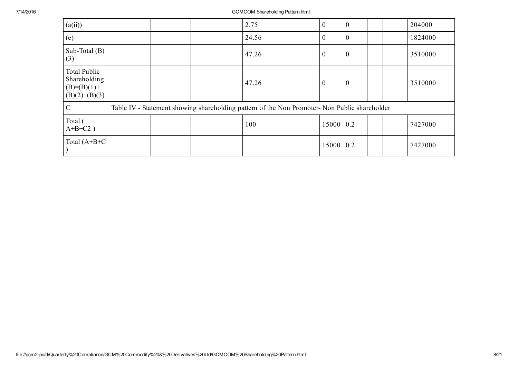| (a(ii))                                                          |  | 2.75                                                                                          | $\mathbf{0}$   | $\boldsymbol{0}$ |  | 204000  |
|------------------------------------------------------------------|--|-----------------------------------------------------------------------------------------------|----------------|------------------|--|---------|
| (e)                                                              |  | 24.56                                                                                         | $\theta$       | $\boldsymbol{0}$ |  | 1824000 |
| Sub-Total $(B)$<br>(3)                                           |  | 47.26                                                                                         | $\theta$       | $\boldsymbol{0}$ |  | 3510000 |
| Total Public<br>Shareholding<br>$(B)=(B)(1)+$<br>$(B)(2)+(B)(3)$ |  | 47.26                                                                                         | $\overline{0}$ | $\boldsymbol{0}$ |  | 3510000 |
| $\mathcal{C}$                                                    |  | Table IV - Statement showing shareholding pattern of the Non Promoter- Non Public shareholder |                |                  |  |         |
| Total (<br>$A+B+C2$ )                                            |  | 100                                                                                           | $15000$ 0.2    |                  |  | 7427000 |
| Total $(A+B+C$                                                   |  |                                                                                               | 15000 0.2      |                  |  | 7427000 |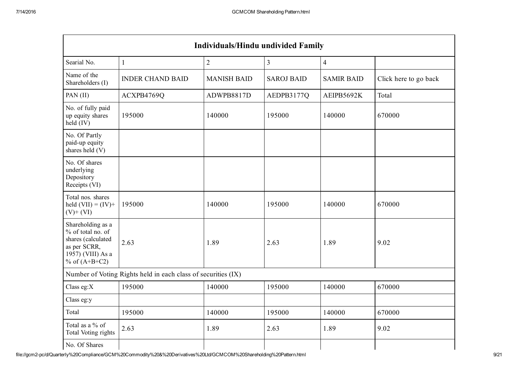| <b>Individuals/Hindu undivided Family</b>                                                                            |                                                               |                    |                   |                   |                       |  |  |  |  |  |
|----------------------------------------------------------------------------------------------------------------------|---------------------------------------------------------------|--------------------|-------------------|-------------------|-----------------------|--|--|--|--|--|
| Searial No.                                                                                                          | $\mathbf{1}$                                                  | $\overline{2}$     | 3                 | $\overline{4}$    |                       |  |  |  |  |  |
| Name of the<br>Shareholders (I)                                                                                      | <b>INDER CHAND BAID</b>                                       | <b>MANISH BAID</b> | <b>SAROJ BAID</b> | <b>SAMIR BAID</b> | Click here to go back |  |  |  |  |  |
| PAN (II)                                                                                                             | ACXPB4769Q                                                    | ADWPB8817D         | AEDPB3177Q        | AEIPB5692K        | Total                 |  |  |  |  |  |
| No. of fully paid<br>up equity shares<br>held (IV)                                                                   | 195000                                                        | 140000             | 195000            | 140000            | 670000                |  |  |  |  |  |
| No. Of Partly<br>paid-up equity<br>shares held (V)                                                                   |                                                               |                    |                   |                   |                       |  |  |  |  |  |
| No. Of shares<br>underlying<br>Depository<br>Receipts (VI)                                                           |                                                               |                    |                   |                   |                       |  |  |  |  |  |
| Total nos. shares<br>held $(VII) = (IV) +$<br>$(V)$ + $(VI)$                                                         | 195000                                                        | 140000             | 195000            | 140000            | 670000                |  |  |  |  |  |
| Shareholding as a<br>% of total no. of<br>shares (calculated<br>as per SCRR,<br>1957) (VIII) As a<br>% of $(A+B+C2)$ | 2.63                                                          | 1.89               | 2.63              | 1.89              | 9.02                  |  |  |  |  |  |
|                                                                                                                      | Number of Voting Rights held in each class of securities (IX) |                    |                   |                   |                       |  |  |  |  |  |
| Class eg: $X$                                                                                                        | 195000                                                        | 140000             | 195000            | 140000            | 670000                |  |  |  |  |  |
| Class eg:y                                                                                                           |                                                               |                    |                   |                   |                       |  |  |  |  |  |
| Total                                                                                                                | 195000                                                        | 140000             | 195000            | 140000            | 670000                |  |  |  |  |  |
| Total as a % of<br>Total Voting rights                                                                               | 2.63                                                          | 1.89               | 2.63              | 1.89              | 9.02                  |  |  |  |  |  |
| No. Of Shares                                                                                                        |                                                               |                    |                   |                   |                       |  |  |  |  |  |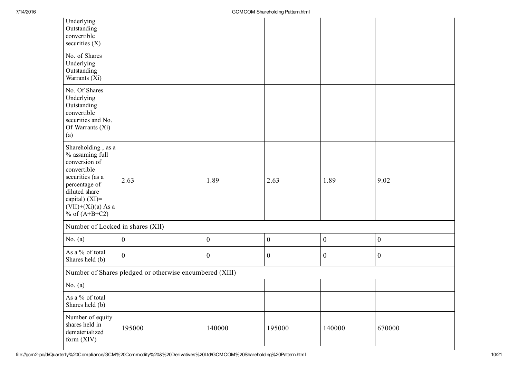| Underlying<br>Outstanding<br>convertible<br>securities $(X)$                                                                                                                                  |                                                         |                  |                  |                  |                  |
|-----------------------------------------------------------------------------------------------------------------------------------------------------------------------------------------------|---------------------------------------------------------|------------------|------------------|------------------|------------------|
| No. of Shares<br>Underlying<br>Outstanding<br>Warrants (Xi)                                                                                                                                   |                                                         |                  |                  |                  |                  |
| No. Of Shares<br>Underlying<br>Outstanding<br>convertible<br>securities and No.<br>Of Warrants (Xi)<br>(a)                                                                                    |                                                         |                  |                  |                  |                  |
| Shareholding, as a<br>% assuming full<br>conversion of<br>convertible<br>securities (as a<br>percentage of<br>diluted share<br>capital) $(XI)$ =<br>$(VII)+(Xi)(a)$ As a<br>$%$ of $(A+B+C2)$ | 2.63                                                    | 1.89             | 2.63             | 1.89             | 9.02             |
| Number of Locked in shares (XII)                                                                                                                                                              |                                                         |                  |                  |                  |                  |
| No. $(a)$                                                                                                                                                                                     | $\overline{0}$                                          | $\boldsymbol{0}$ | $\boldsymbol{0}$ | $\boldsymbol{0}$ | $\boldsymbol{0}$ |
| As a % of total<br>Shares held (b)                                                                                                                                                            | $\overline{0}$                                          | $\boldsymbol{0}$ | $\boldsymbol{0}$ | $\boldsymbol{0}$ | $\boldsymbol{0}$ |
|                                                                                                                                                                                               | Number of Shares pledged or otherwise encumbered (XIII) |                  |                  |                  |                  |
| No. $(a)$                                                                                                                                                                                     |                                                         |                  |                  |                  |                  |
| As a % of total<br>Shares held (b)                                                                                                                                                            |                                                         |                  |                  |                  |                  |
| Number of equity<br>shares held in<br>dematerialized<br>form $(XIV)$                                                                                                                          | 195000                                                  | 140000           | 195000           | 140000           | 670000           |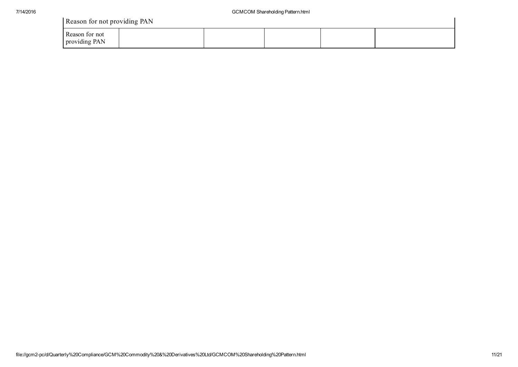| Reason for not providing PAN |  |
|------------------------------|--|
|------------------------------|--|

| Reason for not providing PAN    |  |  |  |  |  |  |  |  |  |
|---------------------------------|--|--|--|--|--|--|--|--|--|
| Reason for not<br>providing PAN |  |  |  |  |  |  |  |  |  |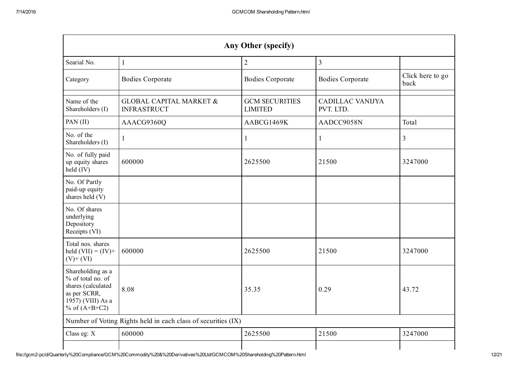| <b>Any Other (specify)</b>                                                                                           |                                                               |                                         |                                      |                          |  |  |
|----------------------------------------------------------------------------------------------------------------------|---------------------------------------------------------------|-----------------------------------------|--------------------------------------|--------------------------|--|--|
| Searial No.                                                                                                          | 1                                                             | $\sqrt{2}$                              | $\overline{3}$                       |                          |  |  |
| Category                                                                                                             | <b>Bodies Corporate</b>                                       | <b>Bodies Corporate</b>                 | <b>Bodies Corporate</b>              | Click here to go<br>back |  |  |
| Name of the<br>Shareholders (I)                                                                                      | <b>GLOBAL CAPITAL MARKET &amp;</b><br><b>INFRASTRUCT</b>      | <b>GCM SECURITIES</b><br><b>LIMITED</b> | <b>CADILLAC VANIJYA</b><br>PVT. LTD. |                          |  |  |
| PAN (II)                                                                                                             | AAACG9360Q                                                    | AABCG1469K                              | AADCC9058N                           | Total                    |  |  |
| No. of the<br>Shareholders (I)                                                                                       | 1                                                             | 1                                       | 1                                    | $\overline{3}$           |  |  |
| No. of fully paid<br>up equity shares<br>held (IV)                                                                   | 600000                                                        | 2625500                                 | 21500                                | 3247000                  |  |  |
| No. Of Partly<br>paid-up equity<br>shares held (V)                                                                   |                                                               |                                         |                                      |                          |  |  |
| No. Of shares<br>underlying<br>Depository<br>Receipts (VI)                                                           |                                                               |                                         |                                      |                          |  |  |
| Total nos. shares<br>held $(VII) = (IV) +$<br>$(V)$ + $(VI)$                                                         | 600000                                                        | 2625500                                 | 21500                                | 3247000                  |  |  |
| Shareholding as a<br>% of total no. of<br>shares (calculated<br>as per SCRR,<br>1957) (VIII) As a<br>% of $(A+B+C2)$ | 8.08                                                          | 35.35                                   | 0.29                                 | 43.72                    |  |  |
|                                                                                                                      | Number of Voting Rights held in each class of securities (IX) |                                         |                                      |                          |  |  |
| Class eg: X                                                                                                          | 600000                                                        | 2625500                                 | 21500                                | 3247000                  |  |  |
|                                                                                                                      |                                                               |                                         |                                      |                          |  |  |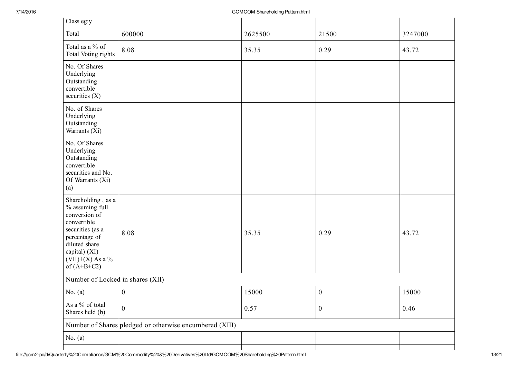| Class eg:y                                                                                                                                                                              |                                                         |         |                  |         |  |  |  |
|-----------------------------------------------------------------------------------------------------------------------------------------------------------------------------------------|---------------------------------------------------------|---------|------------------|---------|--|--|--|
| Total                                                                                                                                                                                   | 600000                                                  | 2625500 | 21500            | 3247000 |  |  |  |
| Total as a % of<br>Total Voting rights                                                                                                                                                  | 8.08                                                    | 35.35   | 0.29             | 43.72   |  |  |  |
| No. Of Shares<br>Underlying<br>Outstanding<br>convertible<br>securities $(X)$                                                                                                           |                                                         |         |                  |         |  |  |  |
| No. of Shares<br>Underlying<br>Outstanding<br>Warrants (Xi)                                                                                                                             |                                                         |         |                  |         |  |  |  |
| No. Of Shares<br>Underlying<br>Outstanding<br>convertible<br>securities and No.<br>Of Warrants (Xi)<br>(a)                                                                              |                                                         |         |                  |         |  |  |  |
| Shareholding, as a<br>% assuming full<br>conversion of<br>convertible<br>securities (as a<br>percentage of<br>diluted share<br>capital) $(XI)$ =<br>$(VII)+(X)$ As a %<br>of $(A+B+C2)$ | 8.08                                                    | 35.35   | 0.29             | 43.72   |  |  |  |
|                                                                                                                                                                                         | Number of Locked in shares (XII)                        |         |                  |         |  |  |  |
| No. $(a)$                                                                                                                                                                               | $\boldsymbol{0}$                                        | 15000   | $\boldsymbol{0}$ | 15000   |  |  |  |
| As a % of total<br>Shares held (b)                                                                                                                                                      | $\boldsymbol{0}$                                        | 0.57    | $\boldsymbol{0}$ | 0.46    |  |  |  |
|                                                                                                                                                                                         | Number of Shares pledged or otherwise encumbered (XIII) |         |                  |         |  |  |  |
| No. $(a)$                                                                                                                                                                               |                                                         |         |                  |         |  |  |  |
|                                                                                                                                                                                         |                                                         |         |                  |         |  |  |  |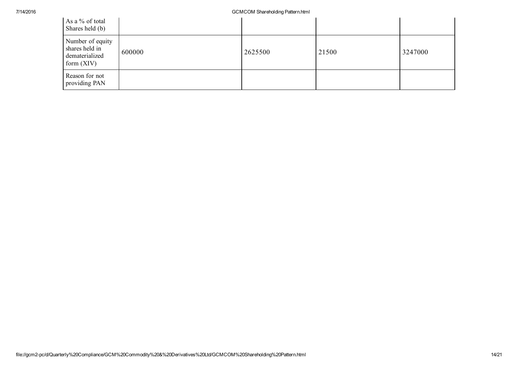| As a % of total<br>Shares held (b)                                   |        |         |       |         |
|----------------------------------------------------------------------|--------|---------|-------|---------|
| Number of equity<br>shares held in<br>dematerialized<br>form $(XIV)$ | 600000 | 2625500 | 21500 | 3247000 |
| Reason for not<br>providing PAN                                      |        |         |       |         |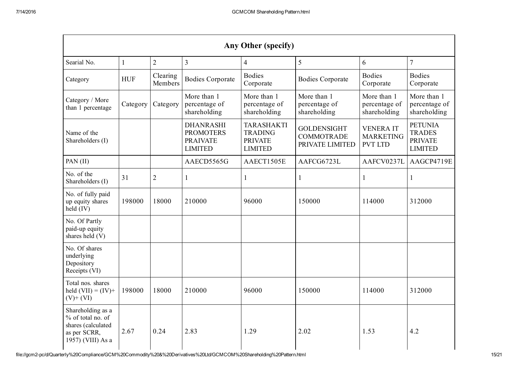| <b>Any Other (specify)</b>                                                                        |            |                     |                                                                           |                                                                         |                                                            |                                                       |                                                                     |
|---------------------------------------------------------------------------------------------------|------------|---------------------|---------------------------------------------------------------------------|-------------------------------------------------------------------------|------------------------------------------------------------|-------------------------------------------------------|---------------------------------------------------------------------|
| Searial No.                                                                                       |            | $\overline{2}$      | $\overline{3}$                                                            | $\overline{4}$                                                          | 5                                                          | 6                                                     | $\overline{7}$                                                      |
| Category                                                                                          | <b>HUF</b> | Clearing<br>Members | <b>Bodies Corporate</b>                                                   | <b>Bodies</b><br>Corporate                                              | <b>Bodies Corporate</b>                                    | <b>Bodies</b><br>Corporate                            | <b>Bodies</b><br>Corporate                                          |
| Category / More<br>than 1 percentage                                                              | Category   | Category            | More than 1<br>percentage of<br>shareholding                              | More than 1<br>percentage of<br>shareholding                            | More than 1<br>percentage of<br>shareholding               | More than 1<br>percentage of<br>shareholding          | More than 1<br>percentage of<br>shareholding                        |
| Name of the<br>Shareholders (I)                                                                   |            |                     | <b>DHANRASHI</b><br><b>PROMOTERS</b><br><b>PRAIVATE</b><br><b>LIMITED</b> | <b>TARASHAKTI</b><br><b>TRADING</b><br><b>PRIVATE</b><br><b>LIMITED</b> | <b>GOLDENSIGHT</b><br><b>COMMOTRADE</b><br>PRIVATE LIMITED | <b>VENERAIT</b><br><b>MARKETING</b><br><b>PVT LTD</b> | <b>PETUNIA</b><br><b>TRADES</b><br><b>PRIVATE</b><br><b>LIMITED</b> |
| PAN (II)                                                                                          |            |                     | AAECD5565G                                                                | AAECT1505E                                                              | AAFCG6723L                                                 | AAFCV0237L                                            | AAGCP4719E                                                          |
| No. of the<br>Shareholders (I)                                                                    | 31         | $\overline{2}$      | 1                                                                         | $\mathbf{1}$                                                            |                                                            | $\mathbf{1}$                                          | $\mathbf{1}$                                                        |
| No. of fully paid<br>up equity shares<br>held (IV)                                                | 198000     | 18000               | 210000                                                                    | 96000                                                                   | 150000                                                     | 114000                                                | 312000                                                              |
| No. Of Partly<br>paid-up equity<br>shares held (V)                                                |            |                     |                                                                           |                                                                         |                                                            |                                                       |                                                                     |
| No. Of shares<br>underlying<br>Depository<br>Receipts (VI)                                        |            |                     |                                                                           |                                                                         |                                                            |                                                       |                                                                     |
| Total nos. shares<br>held $(VII) = (IV) +$<br>$(V)$ + $(VI)$                                      | 198000     | 18000               | 210000                                                                    | 96000                                                                   | 150000                                                     | 114000                                                | 312000                                                              |
| Shareholding as a<br>% of total no. of<br>shares (calculated<br>as per SCRR,<br>1957) (VIII) As a | 2.67       | 0.24                | 2.83                                                                      | 1.29                                                                    | 2.02                                                       | 1.53                                                  | 4.2                                                                 |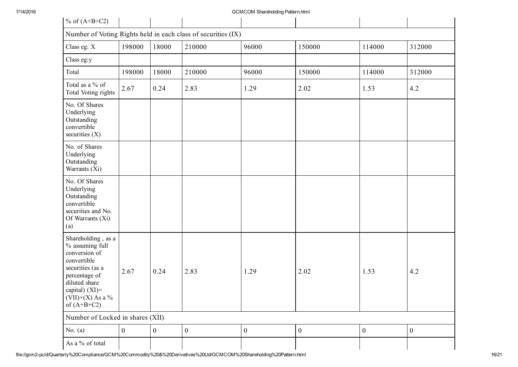| $%$ of (A+B+C2)                                                                                                                                                                      |              |                  |              |                  |                |                  |                  |
|--------------------------------------------------------------------------------------------------------------------------------------------------------------------------------------|--------------|------------------|--------------|------------------|----------------|------------------|------------------|
| Number of Voting Rights held in each class of securities (IX)                                                                                                                        |              |                  |              |                  |                |                  |                  |
| Class eg: X                                                                                                                                                                          | 198000       | 18000            | 210000       | 96000            | 150000         | 114000           | 312000           |
| Class eg:y                                                                                                                                                                           |              |                  |              |                  |                |                  |                  |
| Total                                                                                                                                                                                | 198000       | 18000            | 210000       | 96000            | 150000         | 114000           | 312000           |
| Total as a % of<br>Total Voting rights                                                                                                                                               | 2.67         | 0.24             | 2.83         | 1.29             | 2.02           | 1.53             | 4.2              |
| No. Of Shares<br>Underlying<br>Outstanding<br>convertible<br>securities $(X)$                                                                                                        |              |                  |              |                  |                |                  |                  |
| No. of Shares<br>Underlying<br>Outstanding<br>Warrants (Xi)                                                                                                                          |              |                  |              |                  |                |                  |                  |
| No. Of Shares<br>Underlying<br>Outstanding<br>convertible<br>securities and No.<br>Of Warrants (Xi)<br>(a)                                                                           |              |                  |              |                  |                |                  |                  |
| Shareholding, as a<br>% assuming full<br>conversion of<br>convertible<br>securities (as a<br>percentage of<br>diluted share<br>capital) (XI)=<br>$(VII)+(X)$ As a %<br>of $(A+B+C2)$ | 2.67         | 0.24             | 2.83         | 1.29             | 2.02           | 1.53             | 4.2              |
| Number of Locked in shares (XII)                                                                                                                                                     |              |                  |              |                  |                |                  |                  |
| No. $(a)$                                                                                                                                                                            | $\mathbf{0}$ | $\boldsymbol{0}$ | $\mathbf{0}$ | $\boldsymbol{0}$ | $\overline{0}$ | $\boldsymbol{0}$ | $\boldsymbol{0}$ |
| As a % of total                                                                                                                                                                      |              |                  |              |                  |                |                  |                  |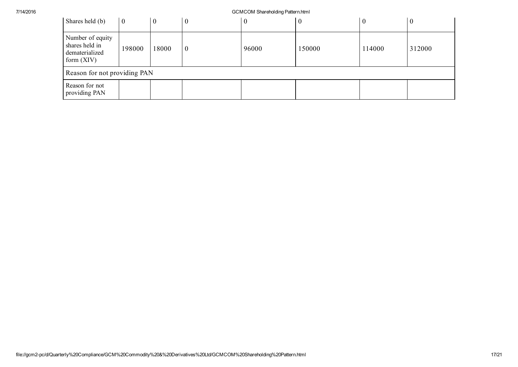| Shares held (b)                                                      | $\overline{0}$ |       | V        | $\boldsymbol{0}$ |        |        |        |
|----------------------------------------------------------------------|----------------|-------|----------|------------------|--------|--------|--------|
| Number of equity<br>shares held in<br>dematerialized<br>form $(XIV)$ | 198000         | 18000 | $\theta$ | 96000            | 150000 | 114000 | 312000 |
| Reason for not providing PAN                                         |                |       |          |                  |        |        |        |
| Reason for not<br>providing PAN                                      |                |       |          |                  |        |        |        |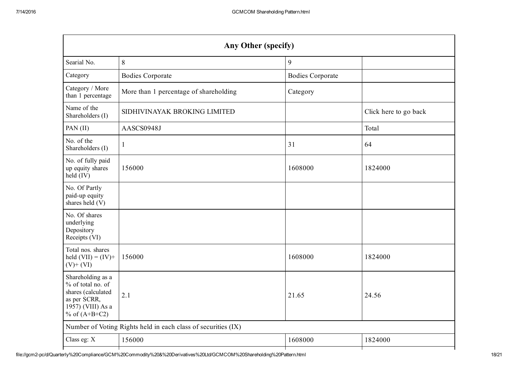| <b>Any Other (specify)</b>                                    |                         |                       |  |  |  |  |
|---------------------------------------------------------------|-------------------------|-----------------------|--|--|--|--|
| 8                                                             | 9                       |                       |  |  |  |  |
| <b>Bodies Corporate</b>                                       | <b>Bodies Corporate</b> |                       |  |  |  |  |
| More than 1 percentage of shareholding                        | Category                |                       |  |  |  |  |
| SIDHIVINAYAK BROKING LIMITED                                  |                         | Click here to go back |  |  |  |  |
| AASCS0948J                                                    |                         | Total                 |  |  |  |  |
| 1                                                             | 31                      | 64                    |  |  |  |  |
| 156000                                                        | 1608000                 | 1824000               |  |  |  |  |
|                                                               |                         |                       |  |  |  |  |
|                                                               |                         |                       |  |  |  |  |
| 156000                                                        | 1608000                 | 1824000               |  |  |  |  |
| 2.1                                                           | 21.65                   | 24.56                 |  |  |  |  |
| Number of Voting Rights held in each class of securities (IX) |                         |                       |  |  |  |  |
| 156000                                                        | 1608000                 | 1824000               |  |  |  |  |
|                                                               |                         |                       |  |  |  |  |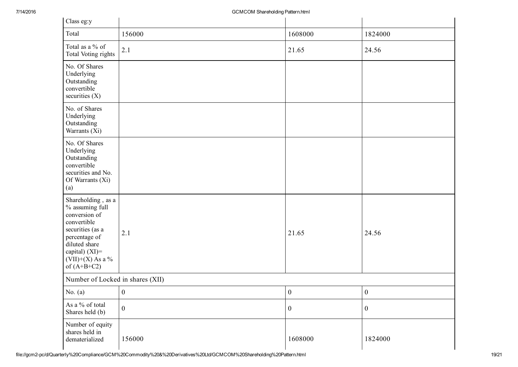| Class eg:y                                                                                                                                                                              |                  |                  |                  |  |  |
|-----------------------------------------------------------------------------------------------------------------------------------------------------------------------------------------|------------------|------------------|------------------|--|--|
| Total                                                                                                                                                                                   | 156000           | 1608000          | 1824000          |  |  |
| Total as a % of<br>Total Voting rights                                                                                                                                                  | 2.1              | 21.65            | 24.56            |  |  |
| No. Of Shares<br>Underlying<br>Outstanding<br>convertible<br>securities $(X)$                                                                                                           |                  |                  |                  |  |  |
| No. of Shares<br>Underlying<br>Outstanding<br>Warrants (Xi)                                                                                                                             |                  |                  |                  |  |  |
| No. Of Shares<br>Underlying<br>Outstanding<br>convertible<br>securities and No.<br>Of Warrants (Xi)<br>(a)                                                                              |                  |                  |                  |  |  |
| Shareholding, as a<br>% assuming full<br>conversion of<br>convertible<br>securities (as a<br>percentage of<br>diluted share<br>capital) $(XI)$ =<br>$(VII)+(X)$ As a %<br>of $(A+B+C2)$ | 2.1              | 21.65            | 24.56            |  |  |
| Number of Locked in shares (XII)                                                                                                                                                        |                  |                  |                  |  |  |
| No. $(a)$                                                                                                                                                                               | $\overline{0}$   | $\boldsymbol{0}$ | $\mathbf{0}$     |  |  |
| As a % of total<br>Shares held (b)                                                                                                                                                      | $\boldsymbol{0}$ | $\boldsymbol{0}$ | $\boldsymbol{0}$ |  |  |
| Number of equity<br>shares held in<br>dematerialized                                                                                                                                    | 156000           | 1608000          | 1824000          |  |  |